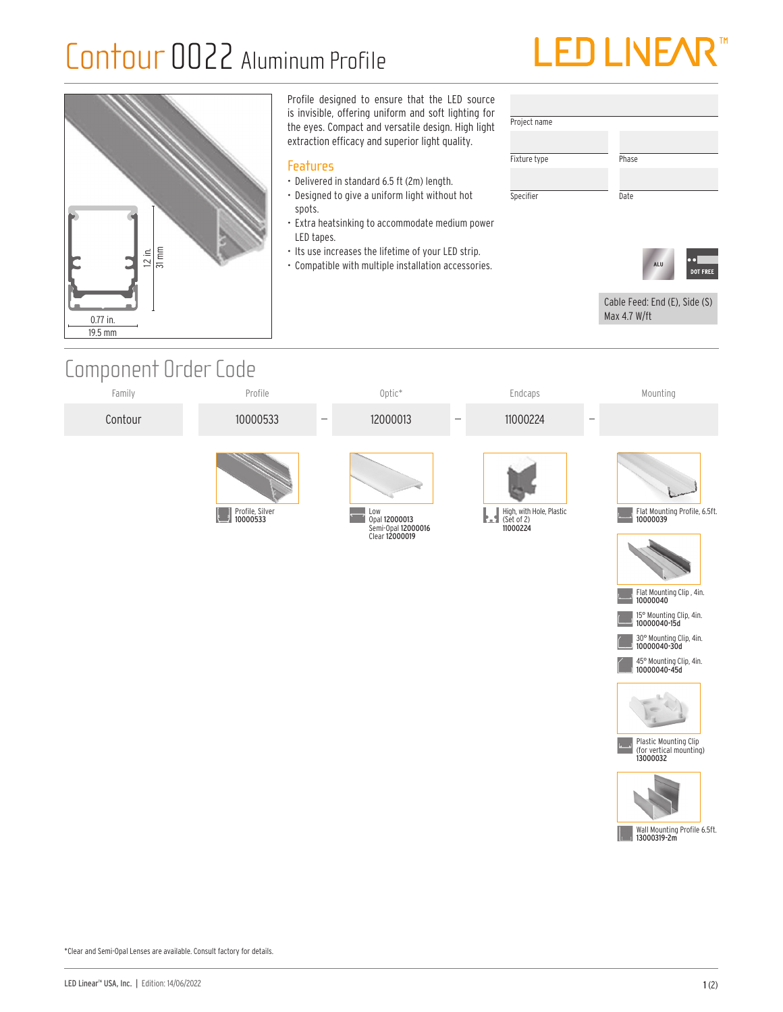## Contour 0022 Aluminum Profile





## Component Order Code







Plastic Mounting Clip (for vertical mounting) 13000032



Wall Mounting Profile 6.5ft. 13000319-2m

\*Clear and Semi-Opal Lenses are available. Consult factory for details.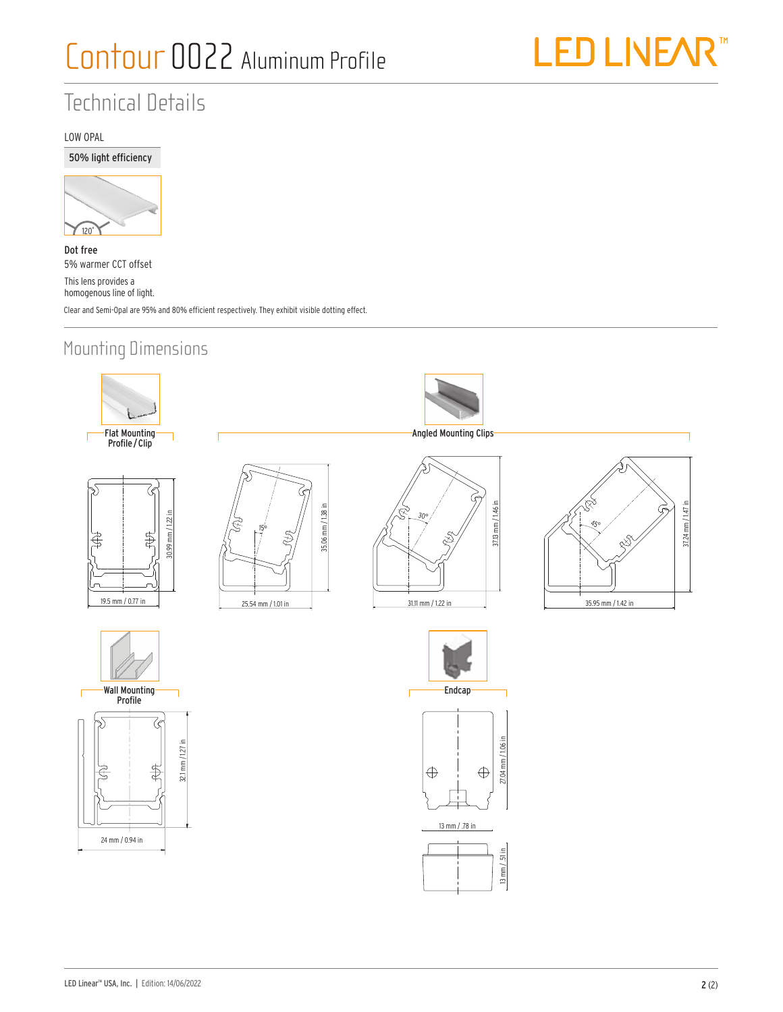

## Technical Details

#### LOW OPAL

50% light efficiency



Dot free 5% warmer CCT offset This lens provides a homogenous line of light. Clear and Semi-Opal are 95% and 80% efficient respectively. They exhibit visible dotting effect.

### Mounting Dimensions